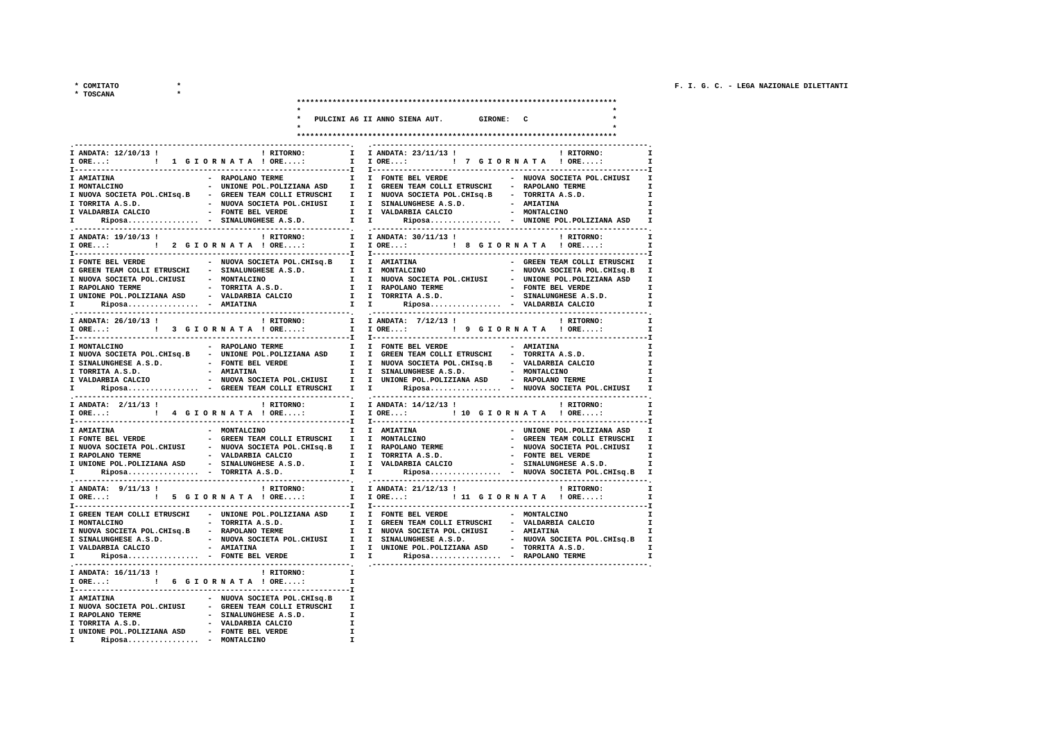\* COMITATO

 $\star$ 

 $\star$ 

\* TOSCANA

|                                                                                                                    |                              |                                                                                    | ****************************   |                                                                                  |
|--------------------------------------------------------------------------------------------------------------------|------------------------------|------------------------------------------------------------------------------------|--------------------------------|----------------------------------------------------------------------------------|
|                                                                                                                    |                              | PULCINI A6 II ANNO SIENA AUT.                                                      | <b>GIRONE: C</b>               |                                                                                  |
|                                                                                                                    |                              |                                                                                    |                                |                                                                                  |
|                                                                                                                    |                              |                                                                                    | ****************************** |                                                                                  |
|                                                                                                                    | $\mathbf{I}$                 |                                                                                    |                                |                                                                                  |
| ! RITORNO:<br>I ANDATA: 12/10/13 !                                                                                 |                              | I ANDATA: 23/11/13 !<br>I IORE: ! 7 GIORNATA ! ORE:                                |                                | ! RITORNO:<br>$\mathbf{I}$                                                       |
|                                                                                                                    |                              |                                                                                    |                                |                                                                                  |
| I AMIATINA<br>- RAPOLANO TERME                                                                                     |                              | I I FONTE BEL VERDE                                                                |                                | - NUOVA SOCIETA POL.CHIUSI                                                       |
| I MONTALCINO                                                                                                       |                              | - UNIONE POL.POLIZIANA ASD I I GREEN TEAM COLLI ETRUSCHI - RAPOLANO TERME          |                                |                                                                                  |
| I NUOVA SOCIETA POL. CHISQ. B - GREEN TEAM COLLI ETRUSCHI I I NUOVA SOCIETA POL. CHISQ. B - TORRITA A.S.D.         |                              | I I SINALUNGHESE A.S.D.                                                            | - AMIATINA                     |                                                                                  |
| I TORRITA A.S.D. - NUOVA SOCIETA POL.CHIUSI I VALDARBIA CALCIO - FONTE BEL VERDE                                   |                              | I I VALDARBIA CALCIO                                                               | - MONTALCINO                   |                                                                                  |
| I Riposa - SINALUNGHESE A.S.D.                                                                                     |                              | $I$ $I$<br>$Riposa$ - UNIONE POL.POLIZIANA ASD                                     |                                | $\mathbf{I}$                                                                     |
| I ANDATA: 19/10/13 !<br>! RITORNO:                                                                                 | $\mathbf{I}$                 | I ANDATA: 30/11/13 !                                                               |                                | ! RITORNO:                                                                       |
| $I$ ORE<br>! 2 GIORNATA ! ORE:                                                                                     | $\mathbf{I}$                 | I ORE: : 8 G I O R N A T A ! ORE:                                                  |                                |                                                                                  |
| $I - - - - - - - - - - - - - - -$                                                                                  |                              | T---------------------------------                                                 |                                |                                                                                  |
| I FONTE BEL VERDE<br>- NUOVA SOCIETA POL.CHISQ.B I                                                                 |                              | I AMIATINA                                                                         |                                | - GREEN TEAM COLLI ETRUSCHI                                                      |
| I GREEN TEAM COLLI ETRUSCHI - SINALUNGHESE A.S.D. I                                                                |                              | I MONTALCINO                                                                       |                                | - NUOVA SOCIETA POL.CHISQ.B<br>л                                                 |
| I NUOVA SOCIETA POL.CHIUSI - MONTALCINO<br>- TORRITA A.S.D.<br>I RAPOLANO TERME                                    |                              | I I NUOVA SOCIETA POL.CHIUSI - UNIONE POL.POLIZIANA ASD<br>I I RAPOLANO TERME      | - FONTE BEL VERDE              | п                                                                                |
| I UNIONE POL. POLIZIANA ASD - VALDARBIA CALCIO                                                                     |                              | I I TORRITA A.S.D.                                                                 |                                | - SINALUNGHESE A.S.D.                                                            |
| $Riposa$ - AMIATINA<br>т                                                                                           |                              | $\mathbf{I}$ $\mathbf{I}$<br>Riposa - VALDARBIA CALCIO                             |                                |                                                                                  |
|                                                                                                                    | ---------.                   |                                                                                    |                                |                                                                                  |
| I ANDATA: 26/10/13 !<br>! RITORNO:<br>I ORE: : : : 3 G I O R N A T A ! ORE:                                        | $\mathbf{I}$<br>T            | I ANDATA: 7/12/13 !<br>I ORE: ! 9 G I O R N A T A ! ORE:                           |                                | ! RITORNO:<br>$\mathbf{I}$<br>п                                                  |
|                                                                                                                    | ---I                         |                                                                                    | -----------------------------  |                                                                                  |
| - RAPOLANO TERME<br>I MONTALCINO                                                                                   | $\mathbf{I}$                 | I FONTE BEL VERDE                                                                  | - AMIATINA                     |                                                                                  |
| I NUOVA SOCIETA POL.CHISq.B - UNIONE POL.POLIZIANA ASD                                                             | $\mathbf{I}$                 | I GREEN TEAM COLLI ETRUSCHI                                                        | - TORRITA A.S.D.               |                                                                                  |
| I SINALUNGHESE A.S.D. - FONTE BEL VERDE                                                                            |                              | I I NUOVA SOCIETA POL.CHISq.B - VALDARBIA CALCIO                                   |                                |                                                                                  |
| - AMIATINA<br>I TORRITA A.S.D.<br>- NUOVA SOCIETA POL. CHIUSI<br>I VALDARBIA CALCIO                                | $\mathbf{I}$<br>$\mathbf{I}$ | I SINALUNGHESE A.S.D. - MONTALCINO<br>I UNIONE POL. POLIZIANA ASD - RAPOLANO TERME |                                |                                                                                  |
| Riposa - GREEN TEAM COLLI ETRUSCHI<br>Ι.                                                                           | T                            | $\mathbf{I}$ , and $\mathbf{I}$<br>Riposa - NUOVA SOCIETA POL.CHIUSI               |                                |                                                                                  |
|                                                                                                                    |                              |                                                                                    |                                |                                                                                  |
| I ANDATA: 2/11/13 !<br>! RITORNO:                                                                                  | I.                           | I ANDATA: 14/12/13 !                                                               |                                | ! RITORNO:                                                                       |
| ! 4 GIORNATA ! ORE:<br>T ORE                                                                                       | T                            | I ORE: ! 10 G I O R N A T A ! ORE:                                                 |                                |                                                                                  |
| - MONTALCINO<br>I AMIATINA                                                                                         | $\mathbf{I}$                 | I AMIATINA                                                                         |                                | - UNIONE POL. POLIZIANA ASD                                                      |
| I RONTE BEL VERDE TRAN COLLI ETRUSCHI                                                                              | $\mathbf{I}$                 | I MONTALCINO                                                                       |                                | GREEN TEAM COLLI ETRUSCHI                                                        |
| I NUOVA SOCIETA POL. CHIUSI - NUOVA SOCIETA POL. CHISQ. B                                                          | $\mathbf{I}$                 | <b>I RAPOLANO TERME</b>                                                            |                                | - NUOVA SOCIETA POL.CHIUSI                                                       |
| I RAPOLANO TERME $-$ VALDARBIA CALCIO                                                                              |                              | I I TORRITA A.S.D.                                                                 |                                | - FONTE BEL VERDE<br>I                                                           |
| I UNIONE POL. POLIZIANA ASD<br>- SINALUNGHESE A.S.D.<br>Riposa - TORRITA A.S.D.<br>T.                              | $\mathbf{I}$<br>$\mathbf{I}$ | I VALDARBIA CALCIO<br>$T = 1$                                                      |                                | - SINALUNGHESE A.S.D.<br>I<br>Riposa - NUOVA SOCIETA POL.CHIsq.B<br>$\mathbf{I}$ |
| ----------------------------------<br>------------------------------                                               |                              |                                                                                    |                                |                                                                                  |
| I ANDATA: $9/11/13$ !<br>! RITORNO:                                                                                | $\mathbf{I}$                 | I ANDATA: 21/12/13 !                                                               |                                | ! RITORNO:                                                                       |
| ! 5 GIORNATA ! ORE:<br>$I$ ORE:                                                                                    | $\mathbf{I}$                 | I ORE: : : : ! 11 G I O R N A T A ! ORE:                                           |                                | $\mathbf{I}$                                                                     |
| I GREEN TEAM COLLI ETRUSCHI                                                                                        |                              | - UNIONE POL. POLIZIANA ASD I I FONTE BEL VERDE                                    | - MONTALCINO                   |                                                                                  |
| - TORRITA A.S.D.<br>I MONTALCINO                                                                                   |                              | I I GREEN TEAM COLLI ETRUSCHI - VALDARBIA CALCIO                                   |                                |                                                                                  |
| I NUOVA SOCIETA POL. CHISQ. B - RAPOLANO TERME                                                                     |                              | I I NUOVA SOCIETA POL.CHIUSI - AMIATINA                                            |                                |                                                                                  |
| I SINALUNGHESE A.S.D. - NUOVA SOCIETA POL.CHIUSI I I SINALUNGHESE A.S.D. - NUOVA SOCIETA POL.CHISQ.B<br>- AMIATINA |                              | I I UNIONE POL.POLIZIANA ASD - TORRITA A.S.D.                                      |                                |                                                                                  |
| I VALDARBIA CALCIO<br>Riposa - FONTE BEL VERDE<br>I.                                                               | $\mathbf{I}$                 | $\mathbf{I}$ and $\mathbf{I}$<br>Riposa - RAPOLANO TERME                           |                                | $\mathbf{I}$<br>I                                                                |
| --------------------------------                                                                                   | $---$                        |                                                                                    |                                |                                                                                  |
| I ANDATA: 16/11/13 !<br>! RITORNO:                                                                                 | $\mathbf{I}$                 |                                                                                    |                                |                                                                                  |
| I ORE: : : : : 6 G I O R N A T A ! ORE:<br><b>T---------------</b>                                                 | $\mathbf{T}$                 |                                                                                    |                                |                                                                                  |
| - NUOVA SOCIETA POL.CHISQ.B<br>I AMIATINA                                                                          | $\mathbf{I}$                 |                                                                                    |                                |                                                                                  |
| I NUOVA SOCIETA POL. CHIUSI - GREEN TEAM COLLI ETRUSCHI I                                                          |                              |                                                                                    |                                |                                                                                  |
| - SINALUNGHESE A.S.D.<br>I RAPOLANO TERME<br>I TORRITA A.S.D.                                                      | $\mathbf{I}$                 |                                                                                    |                                |                                                                                  |
| - VALDARBIA CALCIO                                                                                                 | $\mathbf{I}$                 |                                                                                    |                                |                                                                                  |
| I UNIONE POL. POLIZIANA ASD - FONTE BEL VERDE<br>$Riposa$ - MONTALCINO<br>$\mathbf{I}$                             | $\mathbf{I}$<br>$\mathbf{I}$ |                                                                                    |                                |                                                                                  |
|                                                                                                                    |                              |                                                                                    |                                |                                                                                  |